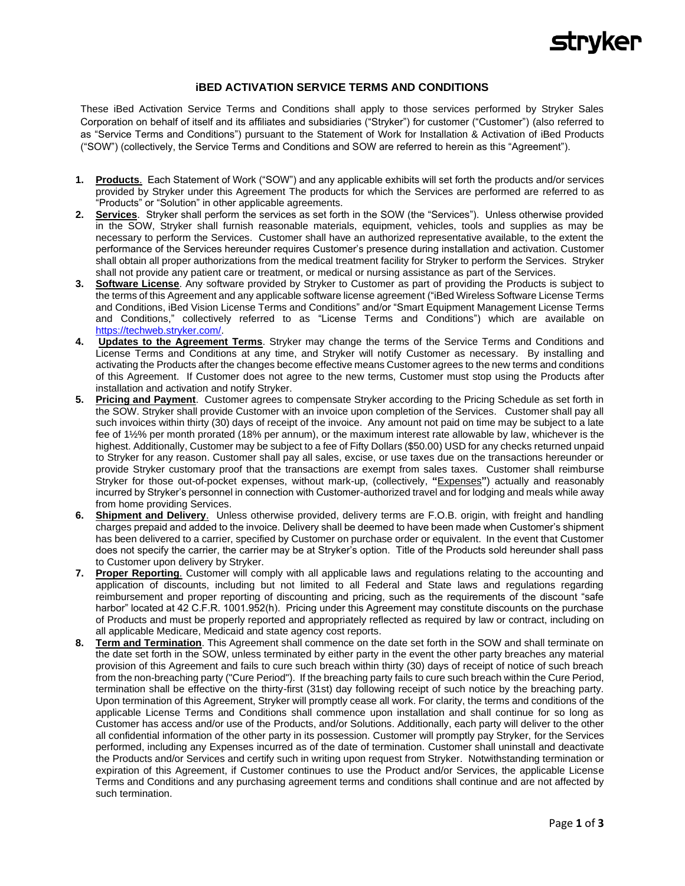

## **iBED ACTIVATION SERVICE TERMS AND CONDITIONS**

These iBed Activation Service Terms and Conditions shall apply to those services performed by Stryker Sales Corporation on behalf of itself and its affiliates and subsidiaries ("Stryker") for customer ("Customer") (also referred to as "Service Terms and Conditions") pursuant to the Statement of Work for Installation & Activation of iBed Products ("SOW") (collectively, the Service Terms and Conditions and SOW are referred to herein as this "Agreement").

- **1. Products**. Each Statement of Work ("SOW") and any applicable exhibits will set forth the products and/or services provided by Stryker under this Agreement The products for which the Services are performed are referred to as "Products" or "Solution" in other applicable agreements.
- **2. Services**.Stryker shall perform the services as set forth in the SOW (the "Services"). Unless otherwise provided in the SOW, Stryker shall furnish reasonable materials, equipment, vehicles, tools and supplies as may be necessary to perform the Services. Customer shall have an authorized representative available, to the extent the performance of the Services hereunder requires Customer's presence during installation and activation. Customer shall obtain all proper authorizations from the medical treatment facility for Stryker to perform the Services. Stryker shall not provide any patient care or treatment, or medical or nursing assistance as part of the Services.
- **3. Software License**. Any software provided by Stryker to Customer as part of providing the Products is subject to the terms of this Agreement and any applicable software license agreement ("iBed Wireless Software License Terms and Conditions, iBed Vision License Terms and Conditions" and/or "Smart Equipment Management License Terms and Conditions," collectively referred to as "License Terms and Conditions") which are available on [https://techweb.stryker.com/.](https://techweb.stryker.com/)
- **4. Updates to the Agreement Terms**. Stryker may change the terms of the Service Terms and Conditions and License Terms and Conditions at any time, and Stryker will notify Customer as necessary. By installing and activating the Products after the changes become effective means Customer agrees to the new terms and conditions of this Agreement. If Customer does not agree to the new terms, Customer must stop using the Products after installation and activation and notify Stryker.
- **5. Pricing and Payment**. Customer agrees to compensate Stryker according to the Pricing Schedule as set forth in the SOW. Stryker shall provide Customer with an invoice upon completion of the Services. Customer shall pay all such invoices within thirty (30) days of receipt of the invoice. Any amount not paid on time may be subject to a late fee of 1½% per month prorated (18% per annum), or the maximum interest rate allowable by law, whichever is the highest. Additionally, Customer may be subject to a fee of Fifty Dollars (\$50.00) USD for any checks returned unpaid to Stryker for any reason. Customer shall pay all sales, excise, or use taxes due on the transactions hereunder or provide Stryker customary proof that the transactions are exempt from sales taxes. Customer shall reimburse Stryker for those out-of-pocket expenses, without mark-up, (collectively, **"**Expenses**"**) actually and reasonably incurred by Stryker's personnel in connection with Customer-authorized travel and for lodging and meals while away from home providing Services.
- **6. Shipment and Delivery**. Unless otherwise provided, delivery terms are F.O.B. origin, with freight and handling charges prepaid and added to the invoice. Delivery shall be deemed to have been made when Customer's shipment has been delivered to a carrier, specified by Customer on purchase order or equivalent. In the event that Customer does not specify the carrier, the carrier may be at Stryker's option. Title of the Products sold hereunder shall pass to Customer upon delivery by Stryker.
- **7. Proper Reporting**. Customer will comply with all applicable laws and regulations relating to the accounting and application of discounts, including but not limited to all Federal and State laws and regulations regarding reimbursement and proper reporting of discounting and pricing, such as the requirements of the discount "safe harbor" located at 42 C.F.R. 1001.952(h). Pricing under this Agreement may constitute discounts on the purchase of Products and must be properly reported and appropriately reflected as required by law or contract, including on all applicable Medicare, Medicaid and state agency cost reports.
- **8. Term and Termination**. This Agreement shall commence on the date set forth in the SOW and shall terminate on the date set forth in the SOW, unless terminated by either party in the event the other party breaches any material provision of this Agreement and fails to cure such breach within thirty (30) days of receipt of notice of such breach from the non-breaching party ("Cure Period"). If the breaching party fails to cure such breach within the Cure Period, termination shall be effective on the thirty-first (31st) day following receipt of such notice by the breaching party. Upon termination of this Agreement, Stryker will promptly cease all work. For clarity, the terms and conditions of the applicable License Terms and Conditions shall commence upon installation and shall continue for so long as Customer has access and/or use of the Products, and/or Solutions. Additionally, each party will deliver to the other all confidential information of the other party in its possession. Customer will promptly pay Stryker, for the Services performed, including any Expenses incurred as of the date of termination. Customer shall uninstall and deactivate the Products and/or Services and certify such in writing upon request from Stryker. Notwithstanding termination or expiration of this Agreement, if Customer continues to use the Product and/or Services, the applicable License Terms and Conditions and any purchasing agreement terms and conditions shall continue and are not affected by such termination.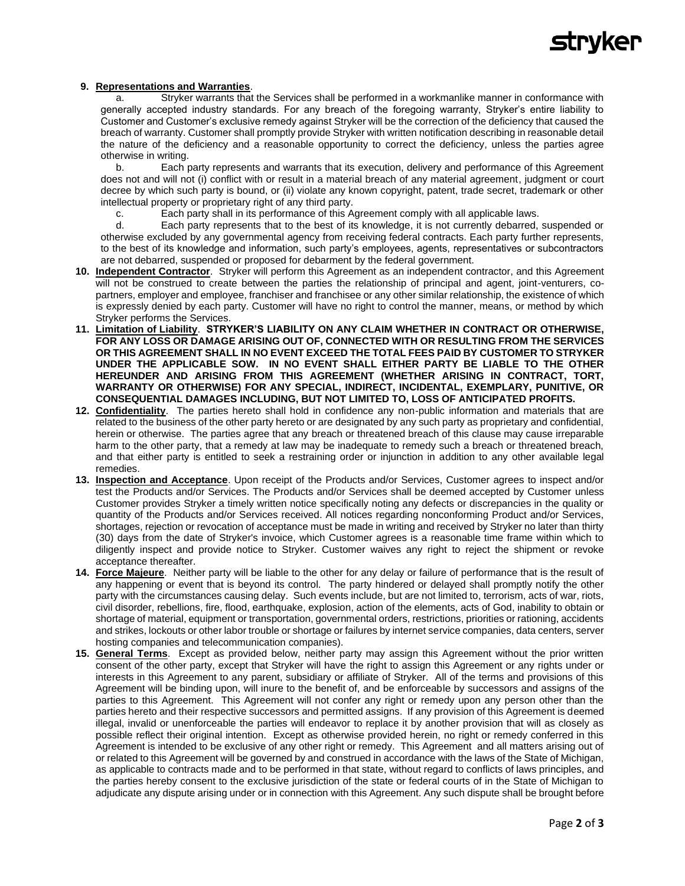

## **9. Representations and Warranties**.

a. Stryker warrants that the Services shall be performed in a workmanlike manner in conformance with generally accepted industry standards. For any breach of the foregoing warranty, Stryker's entire liability to Customer and Customer's exclusive remedy against Stryker will be the correction of the deficiency that caused the breach of warranty. Customer shall promptly provide Stryker with written notification describing in reasonable detail the nature of the deficiency and a reasonable opportunity to correct the deficiency, unless the parties agree otherwise in writing.

b. Each party represents and warrants that its execution, delivery and performance of this Agreement does not and will not (i) conflict with or result in a material breach of any material agreement, judgment or court decree by which such party is bound, or (ii) violate any known copyright, patent, trade secret, trademark or other intellectual property or proprietary right of any third party.

c. Each party shall in its performance of this Agreement comply with all applicable laws.

d. Each party represents that to the best of its knowledge, it is not currently debarred, suspended or otherwise excluded by any governmental agency from receiving federal contracts. Each party further represents, to the best of its knowledge and information, such party's employees, agents, representatives or subcontractors are not debarred, suspended or proposed for debarment by the federal government.

- **10. Independent Contractor**. Stryker will perform this Agreement as an independent contractor, and this Agreement will not be construed to create between the parties the relationship of principal and agent, joint-venturers, copartners, employer and employee, franchiser and franchisee or any other similar relationship, the existence of which is expressly denied by each party. Customer will have no right to control the manner, means, or method by which Stryker performs the Services.
- **11. Limitation of Liability**. **STRYKER'S LIABILITY ON ANY CLAIM WHETHER IN CONTRACT OR OTHERWISE, FOR ANY LOSS OR DAMAGE ARISING OUT OF, CONNECTED WITH OR RESULTING FROM THE SERVICES OR THIS AGREEMENT SHALL IN NO EVENT EXCEED THE TOTAL FEES PAID BY CUSTOMER TO STRYKER UNDER THE APPLICABLE SOW. IN NO EVENT SHALL EITHER PARTY BE LIABLE TO THE OTHER HEREUNDER AND ARISING FROM THIS AGREEMENT (WHETHER ARISING IN CONTRACT, TORT, WARRANTY OR OTHERWISE) FOR ANY SPECIAL, INDIRECT, INCIDENTAL, EXEMPLARY, PUNITIVE, OR CONSEQUENTIAL DAMAGES INCLUDING, BUT NOT LIMITED TO, LOSS OF ANTICIPATED PROFITS.**
- **12. Confidentiality**. The parties hereto shall hold in confidence any non-public information and materials that are related to the business of the other party hereto or are designated by any such party as proprietary and confidential, herein or otherwise. The parties agree that any breach or threatened breach of this clause may cause irreparable harm to the other party, that a remedy at law may be inadequate to remedy such a breach or threatened breach, and that either party is entitled to seek a restraining order or injunction in addition to any other available legal remedies.
- **13. Inspection and Acceptance**. Upon receipt of the Products and/or Services, Customer agrees to inspect and/or test the Products and/or Services. The Products and/or Services shall be deemed accepted by Customer unless Customer provides Stryker a timely written notice specifically noting any defects or discrepancies in the quality or quantity of the Products and/or Services received. All notices regarding nonconforming Product and/or Services, shortages, rejection or revocation of acceptance must be made in writing and received by Stryker no later than thirty (30) days from the date of Stryker's invoice, which Customer agrees is a reasonable time frame within which to diligently inspect and provide notice to Stryker. Customer waives any right to reject the shipment or revoke acceptance thereafter.
- **14. Force Majeure**. Neither party will be liable to the other for any delay or failure of performance that is the result of any happening or event that is beyond its control. The party hindered or delayed shall promptly notify the other party with the circumstances causing delay. Such events include, but are not limited to, terrorism, acts of war, riots, civil disorder, rebellions, fire, flood, earthquake, explosion, action of the elements, acts of God, inability to obtain or shortage of material, equipment or transportation, governmental orders, restrictions, priorities or rationing, accidents and strikes, lockouts or other labor trouble or shortage or failures by internet service companies, data centers, server hosting companies and telecommunication companies).
- **15. General Terms**. Except as provided below, neither party may assign this Agreement without the prior written consent of the other party, except that Stryker will have the right to assign this Agreement or any rights under or interests in this Agreement to any parent, subsidiary or affiliate of Stryker. All of the terms and provisions of this Agreement will be binding upon, will inure to the benefit of, and be enforceable by successors and assigns of the parties to this Agreement. This Agreement will not confer any right or remedy upon any person other than the parties hereto and their respective successors and permitted assigns. If any provision of this Agreement is deemed illegal, invalid or unenforceable the parties will endeavor to replace it by another provision that will as closely as possible reflect their original intention. Except as otherwise provided herein, no right or remedy conferred in this Agreement is intended to be exclusive of any other right or remedy. This Agreement and all matters arising out of or related to this Agreement will be governed by and construed in accordance with the laws of the State of Michigan, as applicable to contracts made and to be performed in that state, without regard to conflicts of laws principles, and the parties hereby consent to the exclusive jurisdiction of the state or federal courts of in the State of Michigan to adjudicate any dispute arising under or in connection with this Agreement. Any such dispute shall be brought before